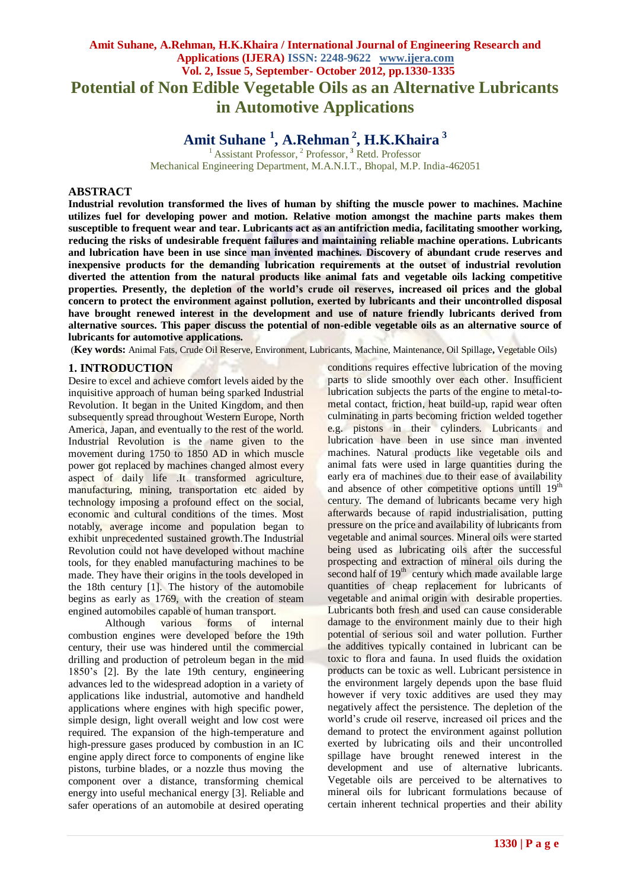## **Amit Suhane, A.Rehman, H.K.Khaira / International Journal of Engineering Research and Applications (IJERA) ISSN: 2248-9622 www.ijera.com Vol. 2, Issue 5, September- October 2012, pp.1330-1335 Potential of Non Edible Vegetable Oils as an Alternative Lubricants in Automotive Applications**

# **Amit Suhane <sup>1</sup> , A.Rehman <sup>2</sup> , H.K.Khaira <sup>3</sup>**

<sup>1</sup> Assistant Professor, <sup>2</sup> Professor, <sup>3</sup> Retd. Professor Mechanical Engineering Department, M.A.N.I.T., Bhopal, M.P. India-462051

## **ABSTRACT**

**Industrial revolution transformed the lives of human by shifting the muscle power to machines. Machine utilizes fuel for developing power and motion. Relative motion amongst the machine parts makes them susceptible to frequent wear and tear. Lubricants act as an antifriction media, facilitating smoother working, reducing the risks of undesirable frequent failures and maintaining reliable machine operations. Lubricants and lubrication have been in use since man invented machines. Discovery of abundant crude reserves and inexpensive products for the demanding lubrication requirements at the outset of industrial revolution diverted the attention from the natural products like animal fats and vegetable oils lacking competitive properties. Presently, the depletion of the world's crude oil reserves, increased oil prices and the global concern to protect the environment against pollution, exerted by lubricants and their uncontrolled disposal have brought renewed interest in the development and use of nature friendly lubricants derived from alternative sources. This paper discuss the potential of non-edible vegetable oils as an alternative source of lubricants for automotive applications.**

(**Key words:** Animal Fats, Crude Oil Reserve, Environment, Lubricants, Machine, Maintenance, Oil Spillage**,** Vegetable Oils)

#### **1. INTRODUCTION**

Desire to excel and achieve comfort levels aided by the inquisitive approach of human being sparked Industrial Revolution. It began in the [United Kingdom,](http://en.wikipedia.org/wiki/United_Kingdom) and then subsequently spread throughout [Western Europe,](http://en.wikipedia.org/wiki/Western_Europe) North [America,](http://en.wikipedia.org/wiki/North_America) [Japan,](http://en.wikipedia.org/wiki/Japan) and eventually to the rest of the world. Industrial Revolution is the name given to the movement during 1750 to 1850 AD in which muscle power got replaced by machines changed almost every aspect of daily life .It transformed agriculture, manufacturing, mining, transportation etc aided by technology imposing a profound effect on the social, economic and cultural conditions of the times. Most notably, average income and population began to exhibit unprecedented sustained growth.The Industrial Revolution could not have developed without [machine](http://en.wikipedia.org/wiki/Machine_tool)  [tools,](http://en.wikipedia.org/wiki/Machine_tool) for they enabled manufacturing machines to be made. They have their origins in the tools developed in the 18th century [1]. The history of the [automobile](http://en.wikipedia.org/wiki/Automobile) begins as early as 1769, with the creation of [steam](http://en.wikipedia.org/wiki/Steam_engine)  [engined](http://en.wikipedia.org/wiki/Steam_engine) automobiles capable of human transport.

 Although various forms of [internal](http://en.wikipedia.org/wiki/Internal_combustion_engine)  [combustion engines](http://en.wikipedia.org/wiki/Internal_combustion_engine) were developed before the 19th century, their use was hindered until the commercial drilling and production of petroleum began in the [mid](http://en.wikipedia.org/wiki/Petroleum#History)  [1850's](http://en.wikipedia.org/wiki/Petroleum#History) [2]. By the late 19th century, engineering advances led to the widespread adoption in a variety of applications like industrial, automotive and handheld applications where engines with high specific power, simple design, light overall weight and low cost were required. The expansion of the high[-temperature](http://en.wikipedia.org/wiki/Temperature) and high[-pressure](http://en.wikipedia.org/wiki/Pressure) gases produced by combustion in an IC engine apply direct [force](http://en.wikipedia.org/wiki/Force) to components of engine like [pistons,](http://en.wikipedia.org/wiki/Piston) [turbine blades,](http://en.wikipedia.org/wiki/Turbine_blade) or a [nozzle](http://en.wikipedia.org/wiki/Propulsive_nozzle) thus moving the component over a distance, transforming chemical energy into useful mechanical [energy](http://en.wikipedia.org/wiki/Energy) [3]. Reliable and safer operations of an automobile at desired operating conditions requires effective [lubrication](http://en.wikipedia.org/wiki/Lubrication) of the [moving](http://en.wikipedia.org/wiki/Moving_parts)  [parts](http://en.wikipedia.org/wiki/Moving_parts) to slide smoothly over each other. Insufficient lubrication subjects the parts of the engine to metal-tometal contact, friction, heat build-up, rapid wear often culminating in parts becoming [friction welded](http://en.wikipedia.org/wiki/Friction_welding) together e.g. pistons in their cylinders. Lubricants and lubrication have been in use since man invented machines. Natural products like vegetable oils and animal fats were used in large quantities during the early era of machines due to their ease of availability and absence of other competitive options untill 19<sup>th</sup> century. The demand of lubricants became very high afterwards because of rapid industrialisation, putting pressure on the price and availability of lubricants from vegetable and animal sources. Mineral oils were started being used as lubricating oils after the successful prospecting and extraction of mineral oils during the second half of  $19<sup>th</sup>$  century which made available large quantities of cheap replacement for lubricants of vegetable and animal origin with desirable properties. Lubricants both fresh and used can cause considerable damage to the environment mainly due to their high potential of serious soil and water pollution. Further the additives typically contained in lubricant can be toxic to flora and fauna. In used fluids the oxidation products can be toxic as well. Lubricant persistence in the environment largely depends upon the base fluid however if very toxic additives are used they may negatively affect the persistence. The depletion of the world's crude oil reserve, increased oil prices and the demand to protect the environment against pollution exerted by lubricating oils and their uncontrolled spillage have brought renewed interest in the development and use of alternative lubricants. Vegetable oils are perceived to be alternatives to mineral oils for lubricant formulations because of certain inherent technical properties and their ability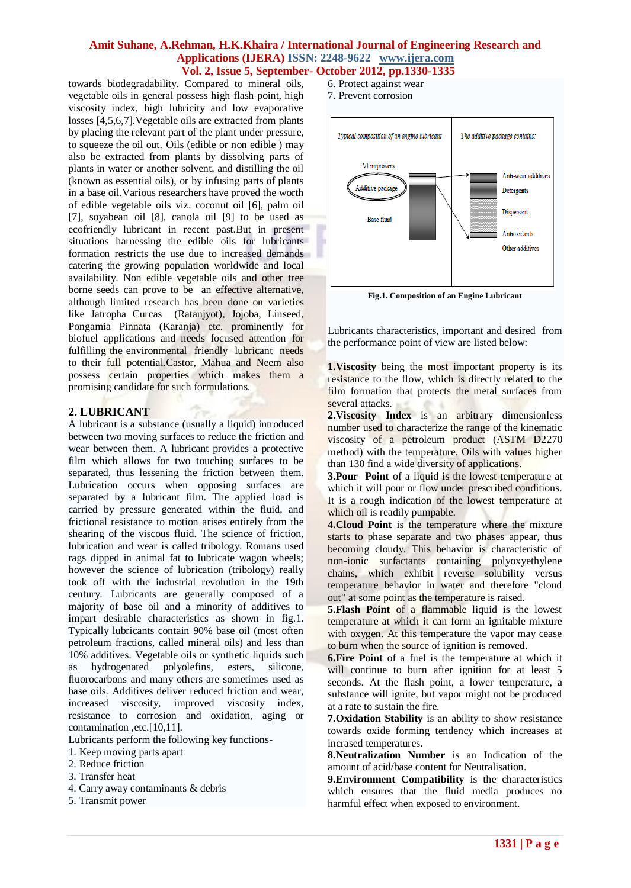towards biodegradability. Compared to mineral oils, vegetable oils in general possess high flash point, high viscosity index, high lubricity and low evaporative losses [4,5,6,7].Vegetable oils are extracted from plants by placing the relevant part of the plant under pressure, to squeeze the oil out. Oils (edible or non edible ) may also be extracted from plants by dissolving parts of plants in water or another solvent, and distilling the oil (known as essential oils), or by infusing parts of plants in a base oil.Various researchers have proved the worth of edible vegetable oils viz. coconut oil [6], palm oil [7], soyabean oil [8], canola oil [9] to be used as ecofriendly lubricant in recent past.But in present situations harnessing the edible oils for lubricants formation restricts the use due to increased demands catering the growing population worldwide and local availability. Non edible vegetable oils and other tree borne seeds can prove to be an effective alternative, although limited research has been done on varieties like Jatropha Curcas (Ratanjyot), Jojoba, Linseed, Pongamia Pinnata (Karanja) etc. prominently for biofuel applications and needs focused attention for fulfilling the environmental friendly lubricant needs to their full potential.Castor, Mahua and Neem also possess certain properties which makes them a promising candidate for such formulations.

## **2. LUBRICANT**

A lubricant is a substance (usually a liquid) introduced between two moving surfaces to reduce the [friction](http://en.wikipedia.org/wiki/Friction) and [wear](http://en.wikipedia.org/wiki/Wear) between them. A lubricant provides a protective film which allows for two touching surfaces to be separated, thus lessening the friction between them. Lubrication occurs when opposing surfaces are separated by a [lubricant](http://en.wikipedia.org/wiki/Lubricant) film. The applied load is carried by pressure generated within the fluid, and frictional resistance to motion arises entirely from the shearing of the viscous fluid. The science of [friction,](http://en.wikipedia.org/wiki/Friction) lubrication and [wear](http://en.wikipedia.org/wiki/Wear) is called [tribology.](http://en.wikipedia.org/wiki/Tribology) Romans used rags dipped in animal fat to lubricate wagon wheels; however the science of lubrication (tribology) really took off with the industrial revolution in the 19th century. Lubricants are generally composed of a majority of base [oil](http://en.wikipedia.org/wiki/Oil) and a minority of additives to impart desirable characteristics as shown in fig.1. Typically lubricants contain 90% base oil (most often [petroleum](http://en.wikipedia.org/wiki/Petroleum) fractions, called [mineral oils\)](http://en.wikipedia.org/wiki/Mineral_oil) and less than 10% additives. [Vegetable oils](http://en.wikipedia.org/wiki/Vegetable_oil) or synthetic liquids such as hydrogenated [polyolefins,](http://en.wikipedia.org/wiki/Polyolefin) [esters,](http://en.wikipedia.org/wiki/Ester) [silicone,](http://en.wikipedia.org/wiki/Silicone) [fluorocarbons](http://en.wikipedia.org/wiki/Fluorocarbon) and many others are sometimes used as base oils. Additives deliver reduced friction and wear, increased [viscosity,](http://en.wikipedia.org/wiki/Viscosity) improved viscosity index, resistance to [corrosion](http://en.wikipedia.org/wiki/Corrosion) and [oxidation,](http://en.wikipedia.org/wiki/Oxidation) aging or contamination ,etc.[10,11].

Lubricants perform the following key functions-

- 1. Keep moving parts apart
- 2. Reduce friction
- 3. Transfer heat
- 4. Carry away contaminants & debris
- 5. Transmit power
- 6. Protect against wear
- 7. Prevent corrosion



**Fig.1. Composition of an Engine Lubricant**

Lubricants characteristics, important and desired from the performance point of view are listed below:

**1.Viscosity** being the most important property is its resistance to the flow, which is directly related to the film formation that protects the metal surfaces from several attacks.

2. Viscosity Index is an arbitrary dimensionless number used to characterize the range of the kinematic viscosity of a petroleum product (ASTM D2270 method) with the temperature. Oils with values higher than 130 find a wide diversity of applications.

**3. Pour Point** of a [liquid](http://en.wikipedia.org/wiki/Liquid) is the lowest [temperature](http://en.wikipedia.org/wiki/Temperature) at which it will pour or flow under prescribed conditions. It is a rough indication of the lowest temperature at whic[h oil](http://en.wikipedia.org/wiki/Oil) is readily pumpable.

**4.Cloud Point** is the [temperature](http://en.wikipedia.org/wiki/Temperature) where the mixture starts to phase separate and two phases appear, thus becoming cloudy. This behavior is characteristic of non-ionic surfactants containing polyoxyethylene chains, which exhibit reverse solubility versus temperature behavior in water and therefore "cloud out" at some point as the temperature is raised.

**5.Flash Point** of a flammable liquid is the lowest [temperature](http://en.wikipedia.org/wiki/Temperature) at which it can form an ignitable mixture with [oxygen.](http://en.wikipedia.org/wiki/Oxygen) At this temperature the vapor may cease to burn when the source of ignition is removed.

**6.Fire Point** of a [fuel](http://en.wikipedia.org/wiki/Fuel) is the temperature at which it will continue to burn after ignition for at least 5 seconds. At the [flash point,](http://en.wikipedia.org/wiki/Flash_point) a lower temperature, a substance will ignite, but vapor might not be produced at a rate to sustain the fire.

**7.Oxidation Stability** is an ability to show resistance towards oxide forming tendency which increases at incrased temperatures.

**8.Neutralization Number** is an Indication of the amount of acid/base content for Neutralisation.

**9.Environment Compatibility** is the characteristics which ensures that the fluid media produces no harmful effect when exposed to environment.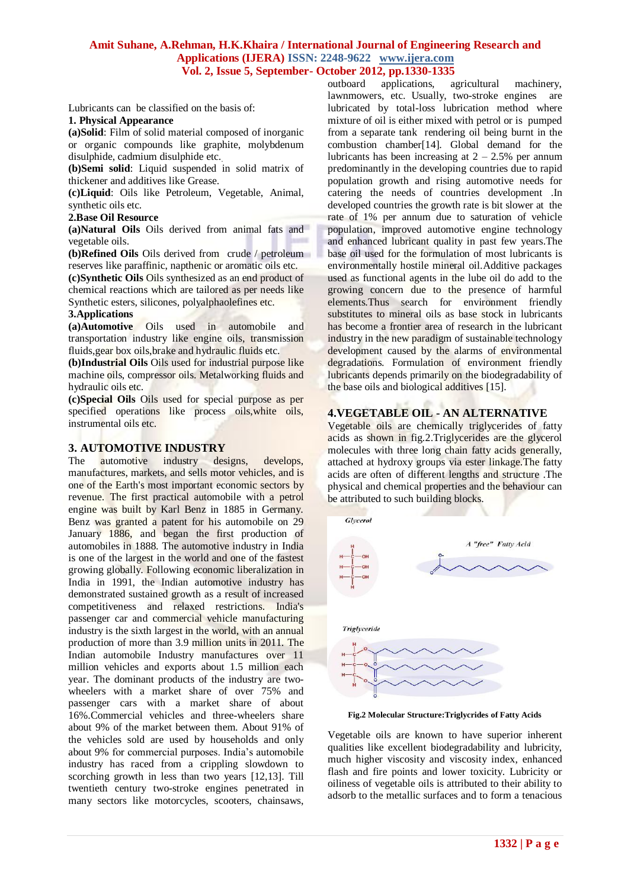Lubricants can be classified on the basis of:

#### **1. Physical Appearance**

**(a)Solid**: Film of solid material composed of inorganic or organic compounds like graphite, molybdenum disulphide, cadmium disulphide etc..

**(b)Semi solid**: Liquid suspended in solid matrix of thickener and additives like Grease.

**(c)Liquid**: Oils like Petroleum, Vegetable, Animal, synthetic oils etc.

#### **2.Base Oil Resource**

**(a)Natural Oils** Oils derived from animal fats and vegetable oils.

**(b)Refined Oils** Oils derived from crude / petroleum reserves like paraffinic, napthenic or aromatic oils etc.

**(c)Synthetic Oils** Oils synthesized as an end product of chemical reactions which are tailored as per needs like Synthetic esters, silicones, polyalphaolefines etc.

#### **3.Applications**

**(a)Automotive** Oils used in automobile and transportation industry like engine oils, transmission fluids, gear box oils, brake and hydraulic fluids etc.

**(b)Industrial Oils** Oils used for industrial purpose like machine oils, compressor oils. Metalworking fluids and hydraulic oils etc.

**(c)Special Oils** Oils used for special purpose as per specified operations like process oils,white oils, instrumental oils etc.

## **3. AUTOMOTIVE INDUSTRY**

The **automotive** industry designs, develops, manufactures, markets, and sells [motor vehicles,](http://en.wikipedia.org/wiki/Motor_vehicle) and is one of the Earth's most important [economic sectors](http://en.wikipedia.org/wiki/Economic_sector) by [revenue.](http://en.wikipedia.org/wiki/Revenue) The first practical automobile with a petrol engine was built by Karl Benz in 1885 in Germany. Benz was granted a patent for his automobile on 29 January 1886, and began the first production of automobiles in 1888. The automotive industry in India is one of the largest in the world and one of the fastest growing globally. Following [economic liberalization in](http://en.wikipedia.org/wiki/Economic_liberalization_in_India)  [India](http://en.wikipedia.org/wiki/Economic_liberalization_in_India) in 1991, the Indian automotive industry has demonstrated sustained growth as a result of increased competitiveness and relaxed restrictions. India's passenger car and commercial vehicle manufacturing industry is the [sixth largest in the world,](http://en.wikipedia.org/wiki/Automotive_industry) with an annual production of more than 3.9 million units in 2011. The Indian automobile Industry manufactures over 11 million vehicles and exports about 1.5 million each year. The dominant products of the industry are twowheelers with a market share of over 75% and passenger cars with a market share of about 16%.Commercial vehicles and three-wheelers share about 9% of the market between them. About 91% of the vehicles sold are used by households and only about 9% for commercial purposes. India's automobile industry has raced from a crippling slowdown to scorching growth in less than two years [12,13]. Till twentieth century two-stroke engines penetrated in many sectors like motorcycles, scooters, chainsaws,

outboard applications, agricultural machinery, lawnmowers, etc. Usually, two-stroke engines are lubricated by total-loss lubrication method where mixture of oil is either mixed with petrol or is pumped from a separate tank rendering oil being burnt in the combustion chamber[14]. Global demand for the lubricants has been increasing at  $2 - 2.5%$  per annum predominantly in the developing countries due to rapid population growth and rising automotive needs for catering the needs of countries development .In developed countries the growth rate is bit slower at the rate of 1% per annum due to saturation of vehicle population, improved automotive engine technology and enhanced lubricant quality in past few years.The base oil used for the formulation of most lubricants is environmentally hostile mineral oil.Additive packages used as functional agents in the lube oil do add to the growing concern due to the presence of harmful elements.Thus search for environment friendly substitutes to mineral oils as base stock in lubricants has become a frontier area of research in the lubricant industry in the new paradigm of sustainable technology development caused by the alarms of environmental degradations. Formulation of environment friendly lubricants depends primarily on the biodegradability of the base oils and biological additives [15].

## **4.VEGETABLE OIL - AN ALTERNATIVE**

Vegetable oils are chemically triglycerides of fatty acids as shown in fig.2.Triglycerides are the glycerol molecules with three long chain fatty acids generally, attached at hydroxy groups via ester linkage.The fatty acids are often of different lengths and structure .The physical and chemical properties and the behaviour can be attributed to such building blocks.



**Fig.2 Molecular Structure:Triglycrides of Fatty Acids**

Vegetable oils are known to have superior inherent qualities like excellent biodegradability and lubricity, much higher viscosity and viscosity index, enhanced flash and fire points and lower toxicity. Lubricity or oiliness of vegetable oils is attributed to their ability to adsorb to the metallic surfaces and to form a tenacious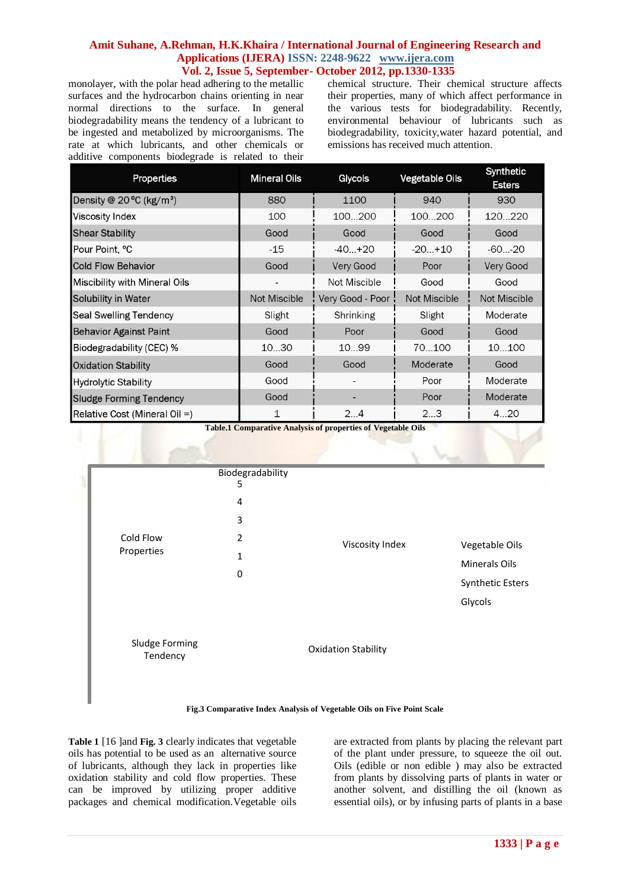monolayer, with the polar head adhering to the metallic surfaces and the hydrocarbon chains orienting in near normal directions to the surface. In general biodegradability means the tendency of a lubricant to be ingested and metabolized by microorganisms. The rate at which lubricants, and other chemicals or additive components biodegrade is related to their chemical structure. Their chemical structure affects their properties, many of which affect performance in the various tests for biodegradability. Recently, environmental behaviour of lubricants such as biodegradability, toxicity,water hazard potential, and emissions has received much attention.

| Properties                                    | <b>Mineral Oils</b> | Glycols          | <b>Vegetable Oils</b> | Synthetic<br><b>Esters</b> |
|-----------------------------------------------|---------------------|------------------|-----------------------|----------------------------|
| Density @ $20^{\circ}$ C (kg/m <sup>3</sup> ) | 880                 | 1100             | 940                   | 930                        |
| Viscosity Index                               | 100                 | 100200           | 100200                | 120220                     |
| <b>Shear Stability</b>                        | Good                | Good             | Good                  | Good                       |
| Pour Point, °C                                | $-15$               | $-40. +20$       | $-20+10$              | $-6020$                    |
| <b>Cold Flow Behavior</b>                     | Good                | Very Good        | Poor                  | Very Good                  |
| Miscibility with Mineral Oils                 |                     | Not Miscible     | Good                  | Good                       |
| Solubility in Water                           | Not Miscible        | Very Good - Poor | Not Miscible          | <b>Not Miscible</b>        |
| <b>Seal Swelling Tendency</b>                 | Slight              | Shrinking        | Slight                | Moderate                   |
| <b>Behavior Against Paint</b>                 | Good                | Poor             | Good                  | Good                       |
| Biodegradability (CEC) %                      | 1030                | 10.99            | 70100                 | 10100                      |
| <b>Oxidation Stability</b>                    | Good                | Good             | Moderate              | Good                       |
| <b>Hydrolytic Stability</b>                   | Good                |                  | Poor                  | Moderate                   |
| <b>Sludge Forming Tendency</b>                | Good                |                  | Poor                  | Moderate                   |
| Relative Cost (Mineral Oil $=$ )              | 1                   | 24               | 23                    | 420                        |

**Table.1 Comparative Analysis of properties of Vegetable Oils**





**Table 1** [16 ]and **Fig. 3** clearly indicates that vegetable oils has potential to be used as an alternative source of lubricants, although they lack in properties like oxidation stability and cold flow properties. These can be improved by utilizing proper additive packages and chemical modification.Vegetable oils are extracted from plants by placing the relevant part of the plant under pressure, to squeeze the oil out. Oils (edible or non edible ) may also be extracted from plants by dissolving parts of plants in water or another solvent, and distilling the oil (known as essential oils), or by infusing parts of plants in a base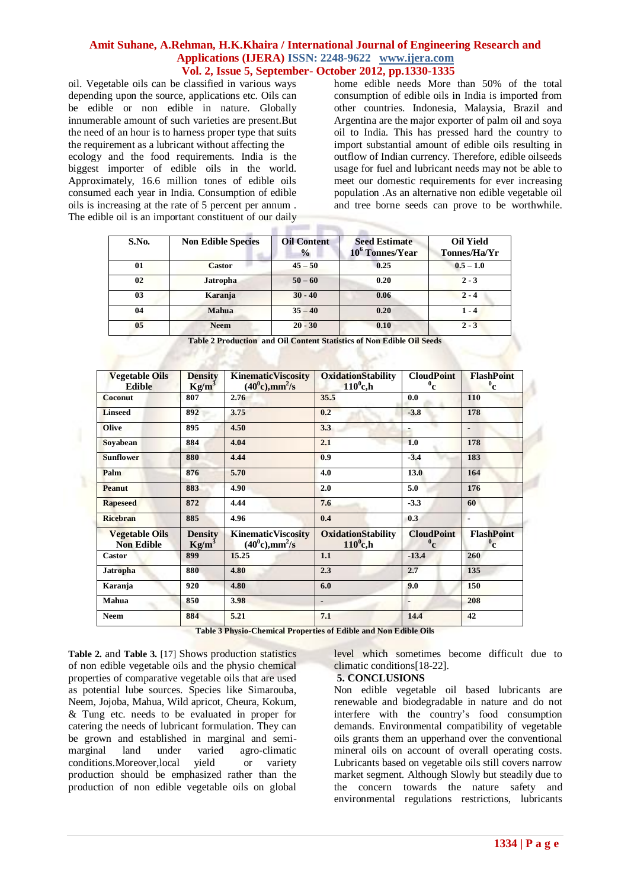oil. Vegetable oils can be classified in various ways depending upon the source, applications etc. Oils can be edible or non edible in nature. Globally innumerable amount of such varieties are present.But the need of an hour is to harness proper type that suits the requirement as a lubricant without affecting the

ecology and the food requirements. India is the biggest importer of edible oils in the world. Approximately, 16.6 million tones of edible oils consumed each year in India. Consumption of edible oils is increasing at the rate of 5 percent per annum . The edible oil is an important constituent of our daily home edible needs More than 50% of the total consumption of edible oils in India is imported from other countries. Indonesia, Malaysia, Brazil and Argentina are the major exporter of palm oil and soya oil to India. This has pressed hard the country to import substantial amount of edible oils resulting in outflow of Indian currency. Therefore, edible oilseeds usage for fuel and lubricant needs may not be able to meet our domestic requirements for ever increasing population .As an alternative non edible vegetable oil and tree borne seeds can prove to be worthwhile.

| S.No. | <b>Non Edible Species</b> | <b>Oil Content</b><br>$\frac{0}{0}$ | <b>Seed Estimate</b><br>10 <sup>6</sup> Tonnes/Year | <b>Oil Yield</b><br>Tonnes/Ha/Yr |
|-------|---------------------------|-------------------------------------|-----------------------------------------------------|----------------------------------|
| 01    | <b>Castor</b>             | $45 - 50$                           | 0.25                                                | $0.5 - 1.0$                      |
| 02    | Jatropha                  | $50 - 60$                           | 0.20                                                | $2 - 3$                          |
| 03    | Karanja                   | $30 - 40$                           | 0.06                                                | $2 - 4$                          |
| 04    | Mahua                     | $35 - 40$                           | 0.20                                                | $1 - 4$                          |
| 05    | <b>Neem</b>               | $20 - 30$                           | 0.10                                                | $2 - 3$                          |

| <b>Density</b><br>$Kg/m^3$ | <b>Kinematic Viscosity</b><br>$(40^0c),mm^2/s$ | <b>OxidationStability</b><br>$110^0$ c,h | <b>CloudPoint</b><br>$^{0}$ c | <b>FlashPoint</b><br>$^0$ c   |
|----------------------------|------------------------------------------------|------------------------------------------|-------------------------------|-------------------------------|
| 807                        | 2.76                                           | 35.5                                     | 0.0                           | 110                           |
| 892                        | 3.75                                           | 0.2                                      | $-3.8$                        | 178                           |
| 895                        | 4.50                                           | 3.3                                      |                               | $\qquad \qquad \blacksquare$  |
| 884                        | 4.04                                           | 2.1                                      | 1.0                           | 178                           |
| 880                        | 4.44                                           | 0.9                                      | $-3.4$                        | 183                           |
| 876                        | 5.70                                           | 4.0                                      | 13.0                          | 164                           |
| 883                        | 4.90                                           | 2.0                                      | 5.0                           | 176                           |
| 872                        | 4.44                                           | 7.6                                      | $-3.3$                        | 60                            |
| 885                        | 4.96                                           | 0.4                                      | 0.3                           | $\blacksquare$                |
| <b>Density</b><br>$Kg/m^3$ | <b>KinematicViscosity</b><br>$(40^0c),mm^2/s$  | <b>OxidationStability</b><br>$110^0$ c,h | <b>CloudPoint</b><br>$^{0}$ c | <b>FlashPoint</b><br>$^{0}$ c |
| 899                        | 15.25                                          | 1.1                                      | $-13.4$                       | 260                           |
| 880                        | 4.80                                           | 2.3                                      | 2.7                           | 135                           |
| 920                        | 4.80                                           | 6.0                                      | 9.0                           | 150                           |
| 850                        | 3.98                                           | ٠                                        |                               | 208                           |
| 884                        | 5.21                                           | 7.1                                      | 14.4                          | 42                            |
|                            |                                                |                                          |                               |                               |

**Table 2 Production and Oil Content Statistics of Non Edible Oil Seeds**

**Table 3 Physio-Chemical Properties of Edible and Non Edible Oils**

**Table 2.** and **Table 3.** [17] Shows production statistics of non edible vegetable oils and the physio chemical properties of comparative vegetable oils that are used as potential lube sources. Species like Simarouba, Neem, Jojoba, Mahua, Wild apricot, Cheura, Kokum, & Tung etc. needs to be evaluated in proper for catering the needs of lubricant formulation. They can be grown and established in marginal and semimarginal land under varied agro-climatic conditions.Moreover,local yield or variety production should be emphasized rather than the production of non edible vegetable oils on global

level which sometimes become difficult due to climatic conditions[18-22].

#### **5. CONCLUSIONS**

Non edible vegetable oil based lubricants are renewable and biodegradable in nature and do not interfere with the country's food consumption demands. Environmental compatibility of vegetable oils grants them an upperhand over the conventional mineral oils on account of overall operating costs. Lubricants based on vegetable oils still covers narrow market segment. Although Slowly but steadily due to the concern towards the nature safety and environmental regulations restrictions, lubricants